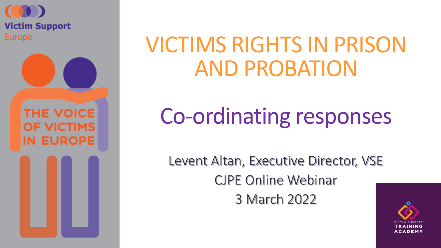

**THE VOICE OF VICTIMS IN EUROPE** 

# VICTIMS RIGHTS IN PRISON AND PROBATION

# Co-ordinating responses

Levent Altan, Executive Director, VSE CJPE Online Webinar 3 March 2022

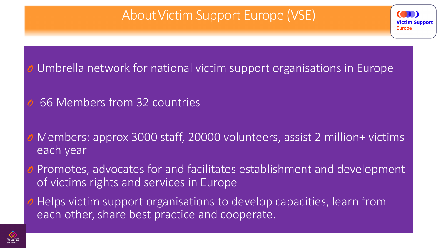#### About Victim Support Europe (VSE)

ictim Support

Europe

#### Umbrella network for national victim support organisations in Europe

- *O* 66 Members from 32 countries
- Members: approx 3000 staff, 20000 volunteers, assist 2 million+ victims each year
- Promotes, advocates for and facilitates establishment and development of victims rights and services in Europe
- Helps victim support organisations to develop capacities, learn from each other, share best practice and cooperate.

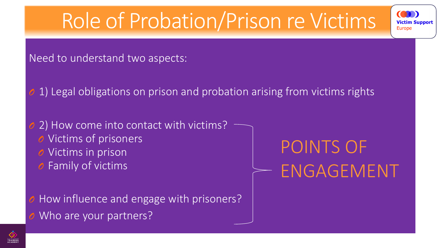# Role of Probation/Prison re Victims

Need to understand two aspects:

1) Legal obligations on prison and probation arising from victims rights

2) How come into contact with victims? *O* Victims of prisoners

*O* Victims in prison

*O* Family of victims

How influence and engage with prisoners? *O* Who are your partners?

POINTS OF ENGAGEMENT

**Victim Support** 

**Europe** 

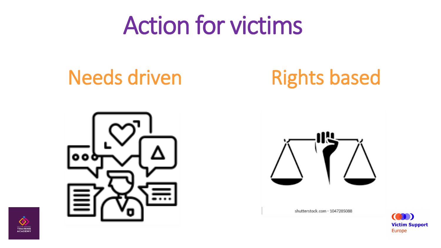# Action for victims

## Needs driven Rights based





shutterstock.com - 1047285088



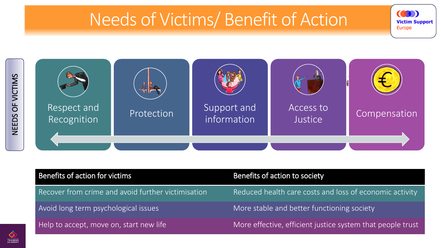### Needs of Victims/ Benefit of Action

**Victim Support** 

**Europe** 



| Benefits of action for victims                     | Benefits of action to society                              |
|----------------------------------------------------|------------------------------------------------------------|
| Recover from crime and avoid further victimisation | Reduced health care costs and loss of economic activity    |
| Avoid long term psychological issues               | More stable and better functioning society                 |
| Help to accept, move on, start new life            | More effective, efficient justice system that people trust |

TRAINING<br>ACADEMY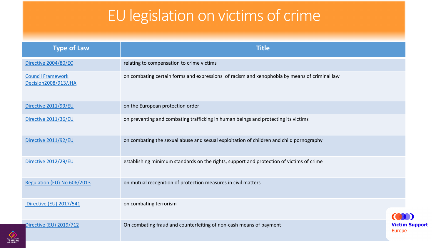#### EU legislation on victims of crime

| <b>Type of Law</b>                               | <b>Title</b>                                                                                 |                                        |
|--------------------------------------------------|----------------------------------------------------------------------------------------------|----------------------------------------|
| Directive 2004/80/EC                             | relating to compensation to crime victims                                                    |                                        |
| <b>Council Framework</b><br>Decision2008/913/JHA | on combating certain forms and expressions of racism and xenophobia by means of criminal law |                                        |
| Directive 2011/99/EU                             | on the European protection order                                                             |                                        |
| Directive 2011/36/EU                             | on preventing and combating trafficking in human beings and protecting its victims           |                                        |
| Directive 2011/92/EU                             | on combating the sexual abuse and sexual exploitation of children and child pornography      |                                        |
| Directive 2012/29/EU                             | establishing minimum standards on the rights, support and protection of victims of crime     |                                        |
| Regulation (EU) No 606/2013                      | on mutual recognition of protection measures in civil matters                                |                                        |
| Directive (EU) 2017/541                          | on combating terrorism                                                                       |                                        |
| Directive (EU) 2019/712                          | On combating fraud and counterfeiting of non-cash means of payment                           | <b>Victim Support</b><br><b>Europe</b> |

TRAINING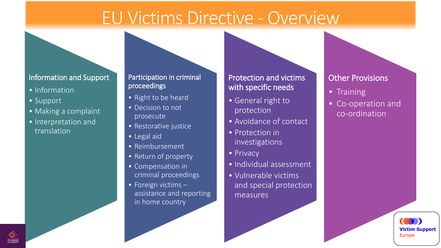### EU Victims Directive - Overview

#### Information and Support

- Information
- Support
- Making a complaint
- Interpretation and translation

#### Participation in criminal proceedings

- Right to be heard
- Decision to not prosecute
- Restorative justice
- Legal aid
- Reimbursement
- Return of property
- Compensation in criminal proceedings
- Foreign victims assistance and reporting in home country

#### Protection and victims with specific needs

- General right to protection
- Avoidance of contact
- Protection in investigations
- Privacy
- Individual assessment
- Vulnerable victims and special protection measures

#### Other Provisions

- Training
- Co-operation and co-ordination

**Victim Support** 

**Europe** 

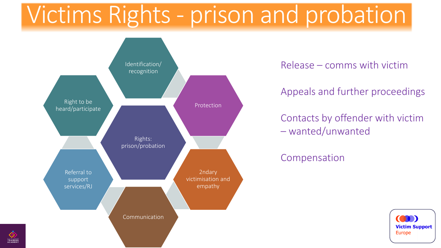# Victims Rights - prison and probation



Release – comms with victim

Appeals and further proceedings

Contacts by offender with victim – wanted/unwanted

Compensation

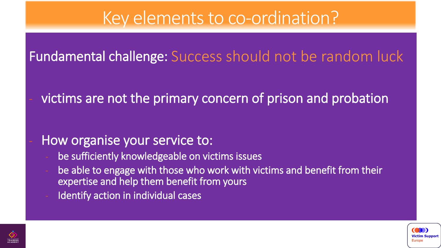### Key elements to co-ordination?

#### Fundamental challenge: Success should not be random luck

victims are not the primary concern of prison and probation

#### How organise your service to:

- be sufficiently knowledgeable on victims issues
- be able to engage with those who work with victims and benefit from their expertise and help them benefit from yours
- Identify action in individual cases



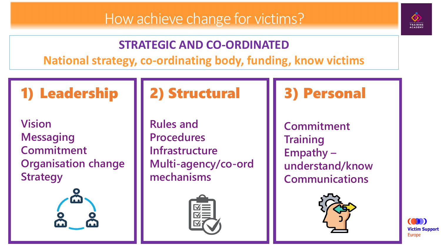

#### **STRATEGIC AND CO-ORDINATED**

**National strategy, co-ordinating body, funding, know victims**

### 1) Leadership

**Vision Messaging Commitment Organisation change Strategy**



#### 2) Structural

**Rules and Procedures Infrastructure Multi-agency/co-ord mechanisms**



#### 3) Personal

**Commitment Training Empathy – understand/know Communications**



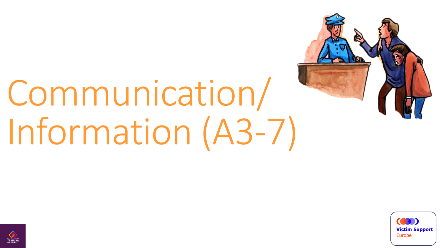

# Communication/ Information (A3-7)



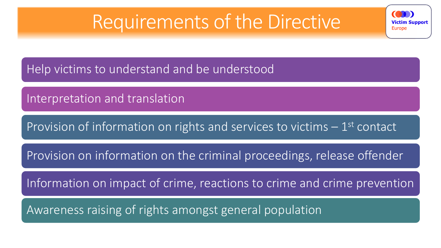### Requirements of the Directive

**Victim Support** 

**Europe** 

Help victims to understand and be understood

Interpretation and translation

Provision of information on rights and services to victims - 1<sup>st</sup> contact

Provision on information on the criminal proceedings, release offender

Information on impact of crime, reactions to crime and crime prevention

Awareness raising of rights amongst general population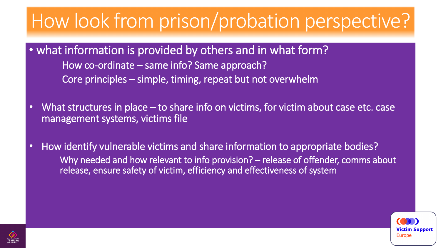# How look from prison/probation perspective?

- what information is provided by others and in what form? How co-ordinate – same info? Same approach? Core principles – simple, timing, repeat but not overwhelm
- What structures in place to share info on victims, for victim about case etc. case management systems, victims file
- How identify vulnerable victims and share information to appropriate bodies? Why needed and how relevant to info provision? – release of offender, comms about release, ensure safety of victim, efficiency and effectiveness of system